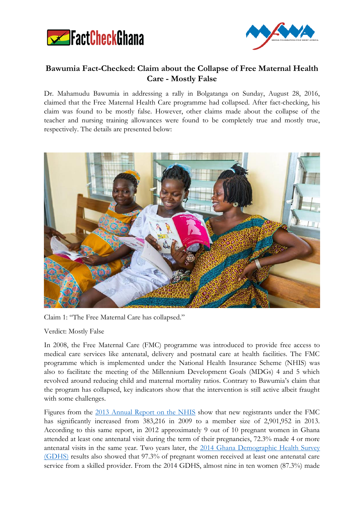



## **Bawumia Fact-Checked: Claim about the Collapse of Free Maternal Health Care - Mostly False**

Dr. Mahamudu Bawumia in addressing a rally in Bolgatanga on Sunday, August 28, 2016, claimed that the Free Maternal Health Care programme had collapsed. After fact-checking, his claim was found to be mostly false. However, other claims made about the collapse of the teacher and nursing training allowances were found to be completely true and mostly true, respectively. The details are presented below:



Claim 1: "The Free Maternal Care has collapsed."

Verdict: Mostly False

In 2008, the Free Maternal Care (FMC) programme was introduced to provide free access to medical care services like antenatal, delivery and postnatal care at health facilities. The FMC programme which is implemented under the National Health Insurance Scheme (NHIS) was also to facilitate the meeting of the Millennium Development Goals (MDGs) 4 and 5 which revolved around reducing child and maternal mortality ratios. Contrary to Bawumia's claim that the program has collapsed, key indicators show that the intervention is still active albeit fraught with some challenges.

Figures from the [2013 Annual Report on the NHIS](http://www.nhis.gov.gh/files/2013%20Annual%20Report-Final%20ver%2029.09.14.pdf) show that new registrants under the FMC has significantly increased from 383,216 in 2009 to a member size of 2,901,952 in 2013. According to this same report, in 2012 approximately 9 out of 10 pregnant women in Ghana attended at least one antenatal visit during the term of their pregnancies, 72.3% made 4 or more antenatal visits in the same year. Two years later, the [2014 Ghana Demographic Health Survey](http://www.statsghana.gov.gh/docfiles/publications/2014%20GDHS%20%20Report.pdf)  [\(GDHS\)](http://www.statsghana.gov.gh/docfiles/publications/2014%20GDHS%20%20Report.pdf) results also showed that 97.3% of pregnant women received at least one antenatal care service from a skilled provider. From the 2014 GDHS, almost nine in ten women (87.3%) made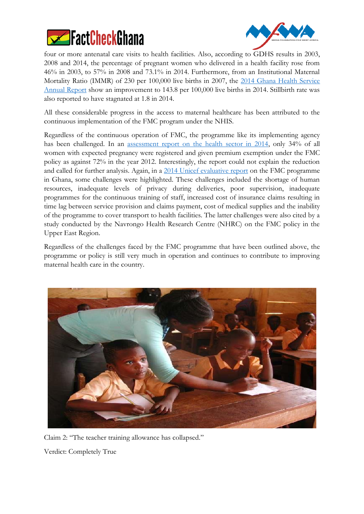



four or more antenatal care visits to health facilities. Also, according to GDHS results in 2003, 2008 and 2014, the percentage of pregnant women who delivered in a health facility rose from 46% in 2003, to 57% in 2008 and 73.1% in 2014. Furthermore, from an Institutional Maternal Mortality Ratio (IMMR) of 230 per 100,000 live births in 2007, the [2014 Ghana Health Service](http://www.ghanahealthservice.org/downloads/Ghana_Health_Service_2014_Annual_Report.pdf)  [Annual Report](http://www.ghanahealthservice.org/downloads/Ghana_Health_Service_2014_Annual_Report.pdf) show an improvement to 143.8 per 100,000 live births in 2014. Stillbirth rate was also reported to have stagnated at 1.8 in 2014.

All these considerable progress in the access to maternal healthcare has been attributed to the continuous implementation of the FMC program under the NHIS.

Regardless of the continuous operation of FMC, the programme like its implementing agency has been challenged. In an [assessment report on the health sector in 2014,](http://www.moh.gov.gh/wp-content/uploads/2016/02/Holistic-Assessment-2015.pdf) only 34% of all women with expected pregnancy were registered and given premium exemption under the FMC policy as against 72% in the year 2012. Interestingly, the report could not explain the reduction and called for further analysis. Again, in a [2014 Unicef evaluative report](http://www.unicef.org/evaldatabase/files/Ghana_130517_Final_Report.pdf) on the FMC programme in Ghana, some challenges were highlighted. These challenges included the shortage of human resources, inadequate levels of privacy during deliveries, poor supervision, inadequate programmes for the continuous training of staff, increased cost of insurance claims resulting in time lag between service provision and claims payment, cost of medical supplies and the inability of the programme to cover transport to health facilities. The latter challenges were also cited by a study conducted by the Navrongo Health Research Centre (NHRC) on the FMC policy in the Upper East Region.

Regardless of the challenges faced by the FMC programme that have been outlined above, the programme or policy is still very much in operation and continues to contribute to improving maternal health care in the country.



Claim 2: "The teacher training allowance has collapsed." Verdict: Completely True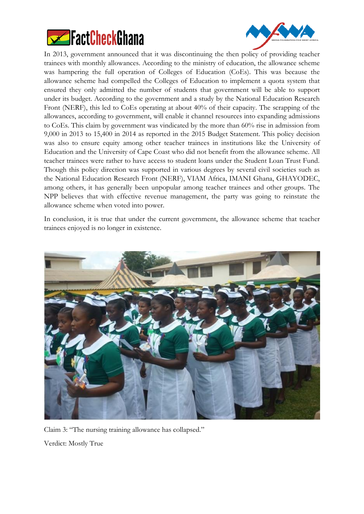



In 2013, government announced that it was discontinuing the then policy of providing teacher trainees with monthly allowances. According to the ministry of education, the allowance scheme was hampering the full operation of Colleges of Education (CoEs). This was because the allowance scheme had compelled the Colleges of Education to implement a quota system that ensured they only admitted the number of students that government will be able to support under its budget. According to the government and a study by the National Education Research Front (NERF), this led to CoEs operating at about 40% of their capacity. The scrapping of the allowances, according to government, will enable it channel resources into expanding admissions to CoEs. This claim by government was vindicated by the more than 60% rise in admission from 9,000 in 2013 to 15,400 in 2014 as reported in the 2015 Budget Statement. This policy decision was also to ensure equity among other teacher trainees in institutions like the University of Education and the University of Cape Coast who did not benefit from the allowance scheme. All teacher trainees were rather to have access to student loans under the Student Loan Trust Fund. Though this policy direction was supported in various degrees by several civil societies such as the National Education Research Front (NERF), VIAM Africa, IMANI Ghana, GHAYODEC, among others, it has generally been unpopular among teacher trainees and other groups. The NPP believes that with effective revenue management, the party was going to reinstate the allowance scheme when voted into power.

In conclusion, it is true that under the current government, the allowance scheme that teacher trainees enjoyed is no longer in existence.



Claim 3: "The nursing training allowance has collapsed." Verdict: Mostly True